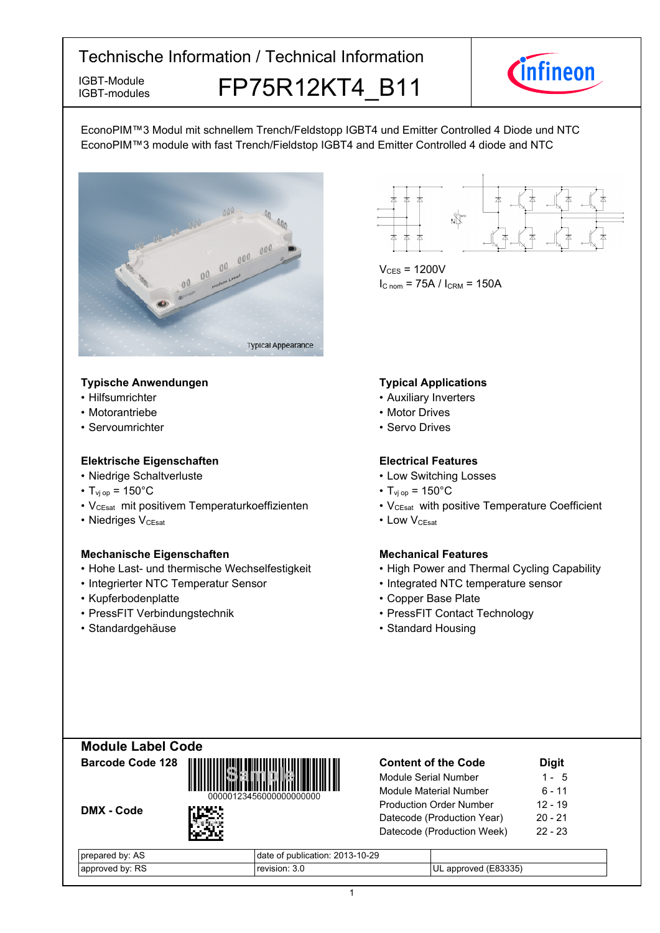IGBT-modules

IGBT-Module **FP75R12KT4 B11** 



EconoPIM™3 Modul mit schnellem Trench/Feldstopp IGBT4 und Emitter Controlled 4 Diode und NTC EconoPIM™3 module with fast Trench/Fieldstop IGBT4 and Emitter Controlled 4 diode and NTC



## **Typische-Anwendungen Typical-**

- Hilfsumrichter
- Motorantriebe
- Servoumrichter

## **Elektrische Eigenschaften Electrical-**

- Niedrige-Schaltverluste Low-
- $T_{\text{vj}}$  op = 150°C T<sub>vj</sub>
- V<sub>CEsat</sub> mit positivem Temperaturkoeffizienten V<sub>CEsat</sub>
- Niedriges V<sub>CEsat</sub>

### **Mechanische Eigenschaften Mechanical-**

- Hohe Last- und thermische Wechselfestigkeit High
- Integrierter NTC Temperatur
- Kupferbodenplatte
- PressFIT Verbindungstechnik PressFIT
- Standardgehäuse Standard-

 $V_{CES}$  = 1200V  $I_{C \text{ nom}} = 75A / I_{CRM} = 150A$ 

# **Typical Applications**

- Auxiliary Inverters
- Motor Drives
- Servo Drives

# **Electrical Features**

- Switching Losses
- $_{\text{op}}$  = 150°C
- with positive Temperature Coefficient
- V<sub>CEsat</sub> Low • Low VCEsat

# **Mechanical Features**

- Power and Thermal Cycling Capability
- Sensor Integrated NTC temperature sensor
	- Base-Plate
	- Contact Technology
	- Standard Housing





| Module Serial Number           | 1 - 5     |
|--------------------------------|-----------|
| <b>Module Material Number</b>  | 6 - 11    |
| <b>Production Order Number</b> | 12 - 19   |
| Datecode (Production Year)     | $20 - 21$ |
| Datecode (Production Week)     | $22 - 23$ |

**Content-of-the-Code -**

**Digit**

| prepared by: AS |  |
|-----------------|--|
| approved by: RS |  |

DMX - Code

date of publication: 2013-10-29  $r$ evision:  $3.0$ 3.0 ULapproved (E83335)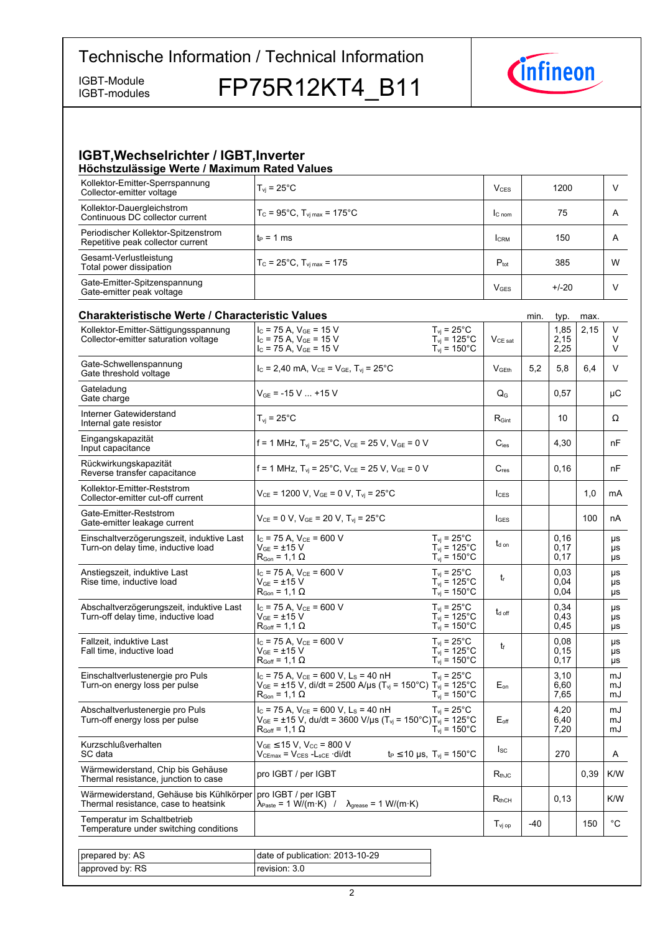IGBT-modules

IGBT-Module FP75R12KT4\_B11



## **IGBT, Wechselrichter / IGBT, Inverter Höchstzulässige-Werte-/-Maximum-Rated-Values**

| Kollektor-Emitter-Sperrspannung<br>Collector-emitter voltage             | $T_{vi}$ = 25 $^{\circ}$ C                                | $V_{CFS}$        | 1200    | V |
|--------------------------------------------------------------------------|-----------------------------------------------------------|------------------|---------|---|
| Kollektor-Dauergleichstrom<br>Continuous DC collector current            | $T_c = 95^{\circ}$ C, $T_{\text{vi max}} = 175^{\circ}$ C | $C_{nom}$        | 75      | A |
| Periodischer Kollektor-Spitzenstrom<br>Repetitive peak collector current | $t_P = 1$ ms                                              | <b>I</b> CRM     | 150     | A |
| Gesamt-Verlustleistung<br>Total power dissipation                        | $T_c = 25^{\circ}$ C, $T_{\text{vi max}} = 175$           | $P_{\text{tot}}$ | 385     | W |
| Gate-Emitter-Spitzenspannung<br>Gate-emitter peak voltage                |                                                           | $V$ GES          | $+/-20$ |   |

| <b>Charakteristische Werte / Characteristic Values</b>                          |                                                                                                                                                                                               |                                                                                   |                     | min.  | typ.                 | max. |                       |
|---------------------------------------------------------------------------------|-----------------------------------------------------------------------------------------------------------------------------------------------------------------------------------------------|-----------------------------------------------------------------------------------|---------------------|-------|----------------------|------|-----------------------|
| Kollektor-Emitter-Sättigungsspannung<br>Collector-emitter saturation voltage    | $I_C$ = 75 A, $V_{GE}$ = 15 V<br>$I_C$ = 75 A, $V_{GE}$ = 15 V<br>$I_C$ = 75 A, $V_{GE}$ = 15 V                                                                                               | $T_{\rm vj}$ = 25°C<br>$T_{\text{vj}}$ = 125°C<br>$T_{\text{vj}}$ = 150°C         | $V_{CE\ sat}$       |       | 1,85<br>2,15<br>2,25 | 2,15 | V<br>V<br>V           |
| Gate-Schwellenspannung<br>Gate threshold voltage                                | $I_C = 2,40$ mA, $V_{CE} = V_{GE}$ , $T_{vi} = 25^{\circ}$ C                                                                                                                                  |                                                                                   | V <sub>GEth</sub>   | 5,2   | 5,8                  | 6,4  | V                     |
| Gateladung<br>Gate charge                                                       | $V_{GE}$ = -15 V  +15 V                                                                                                                                                                       |                                                                                   | $Q_{G}$             |       | 0.57                 |      | μC                    |
| Interner Gatewiderstand<br>Internal gate resistor                               | $T_{vi}$ = 25 $^{\circ}$ C                                                                                                                                                                    |                                                                                   | $R_{\text{Gint}}$   |       | 10                   |      | Ω                     |
| Eingangskapazität<br>Input capacitance                                          | f = 1 MHz, $T_{vi}$ = 25°C, $V_{CE}$ = 25 V, $V_{GE}$ = 0 V                                                                                                                                   |                                                                                   | $C_{\text{ies}}$    |       | 4.30                 |      | nF                    |
| Rückwirkungskapazität<br>Reverse transfer capacitance                           | f = 1 MHz, $T_{vi}$ = 25°C, $V_{CE}$ = 25 V, $V_{GE}$ = 0 V                                                                                                                                   |                                                                                   | $C_{res}$           |       | 0, 16                |      | nF                    |
| Kollektor-Emitter-Reststrom<br>Collector-emitter cut-off current                | $V_{CE}$ = 1200 V, $V_{GE}$ = 0 V, $T_{vi}$ = 25°C                                                                                                                                            |                                                                                   | ICES                |       |                      | 1,0  | mA                    |
| Gate-Emitter-Reststrom<br>Gate-emitter leakage current                          | $V_{CE} = 0 V$ , $V_{GE} = 20 V$ , $T_{vi} = 25^{\circ}$ C                                                                                                                                    |                                                                                   | $I_{\text{GES}}$    |       |                      | 100  | nA                    |
| Einschaltverzögerungszeit, induktive Last<br>Turn-on delay time, inductive load | $I_C$ = 75 A, $V_{CE}$ = 600 V<br>$V_{GF}$ = $\pm 15$ V<br>$R_{\text{Gon}}$ = 1,1 $\Omega$                                                                                                    | $T_{vi}$ = 25°C<br>$T_{vi}$ = 125°C<br>$T_{vi}$ = 150 $^{\circ}$ C                | $t_{\text{d}}$ on   |       | 0.16<br>0.17<br>0.17 |      | μs<br>μs<br>μs        |
| Anstiegszeit, induktive Last<br>Rise time, inductive load                       | $I_C$ = 75 A, $V_{CE}$ = 600 V<br>$V_{GF} = \pm 15 V$<br>$\mathsf{R}_{\mathsf{Gon}}$ = 1,1 $\Omega$                                                                                           | $T_{vi}$ = 25°C<br>$T_{vi}$ = 125°C<br>$T_{vi}$ = 150 $^{\circ}$ C                | $t_{r}$             |       | 0.03<br>0.04<br>0,04 |      | <b>US</b><br>μs<br>μs |
| Abschaltverzögerungszeit, induktive Last<br>Turn-off delay time, inductive load | $I_c$ = 75 A, $V_{CE}$ = 600 V<br>$\rm V_{GE}$ = $\pm 15~\rm V$<br>$R_{Goff}$ = 1,1 $\Omega$                                                                                                  | $T_{vi}$ = 25°C<br>$T_{\text{vj}}$ = 125°C<br>$T_{vi}$ = 150 $^{\circ}$ C         | $t_{d \text{ off}}$ |       | 0.34<br>0.43<br>0.45 |      | μs<br>μs<br>μs        |
| Fallzeit, induktive Last<br>Fall time, inductive load                           | $I_C$ = 75 A, $V_{CE}$ = 600 V<br>$V_{GE}$ = $\pm$ 15 V<br>$R_{Goff} = 1.1 \Omega$                                                                                                            | $T_{\text{vj}}$ = 25°C<br>$T_{\text{vj}}$ = 125°C<br>$T_{\rm vj} = 150^{\circ}$ C | t                   |       | 0,08<br>0.15<br>0.17 |      | μs<br>μs<br>μs        |
| Einschaltverlustenergie pro Puls<br>Turn-on energy loss per pulse               | $I_C$ = 75 A, $V_{CE}$ = 600 V, L <sub>S</sub> = 40 nH<br>$V_{GE}$ = ±15 V, di/dt = 2500 A/µs (T <sub>vj</sub> = 150°C) T <sub>vj</sub> = 125°C<br>$\mathsf{R}_{\mathsf{Gon}}$ = 1,1 $\Omega$ | $T_{vi}$ = 25°C<br>$T_{vi}$ = 150 $^{\circ}$ C                                    | $E_{on}$            |       | 3.10<br>6,60<br>7,65 |      | mJ<br>mJ<br>mJ        |
| Abschaltverlustenergie pro Puls<br>Turn-off energy loss per pulse               | $I_c$ = 75 A, $V_{CE}$ = 600 V, L <sub>s</sub> = 40 nH<br>$V_{GE}$ = ±15 V, du/dt = 3600 V/µs (T <sub>vj</sub> = 150°C)T <sub>vj</sub> = 125°C<br>$\mathsf{R}_{\mathsf{Goff}}$ = 1,1 $\Omega$ | $T_{vi}$ = 25°C<br>$T_{vi}$ = 150 $^{\circ}$ C                                    | $E_{\text{off}}$    |       | 4,20<br>6,40<br>7,20 |      | mJ<br>mJ<br>mJ        |
| Kurzschlußverhalten<br>SC data                                                  | $V_{GE}$ $\leq$ 15 V, V <sub>CC</sub> = 800 V<br>$V_{CEmax} = V_{CES} - L_{sCE} \cdot di/dt$                                                                                                  | $t_P \le 10 \text{ }\mu\text{s}, T_{\text{vj}} = 150^{\circ}\text{C}$             | $I_{SC}$            |       | 270                  |      | A                     |
| Wärmewiderstand, Chip bis Gehäuse<br>Thermal resistance, junction to case       | pro IGBT / per IGBT                                                                                                                                                                           |                                                                                   | $R_{thJC}$          |       |                      | 0,39 | K/W                   |
| Wärmewiderstand, Gehäuse bis Kühlkörper<br>Thermal resistance, case to heatsink | pro IGBT / per IGBT<br>$\lambda_{\text{Paste}} = 1 \text{ W/(m} \cdot \text{K)}$ / $\lambda_{\text{grease}} = 1 \text{ W/(m} \cdot \text{K)}$                                                 |                                                                                   | $R_{thCH}$          |       | 0, 13                |      | K/W                   |
| Temperatur im Schaltbetrieb<br>Temperature under switching conditions           |                                                                                                                                                                                               |                                                                                   | $T_{\rm vj\,op}$    | $-40$ |                      | 150  | $^{\circ}$ C          |
|                                                                                 |                                                                                                                                                                                               |                                                                                   |                     |       |                      |      |                       |
| prepared by: AS                                                                 | date of publication: 2013-10-29                                                                                                                                                               |                                                                                   |                     |       |                      |      |                       |
| approved by: RS                                                                 | revision: 3.0                                                                                                                                                                                 |                                                                                   |                     |       |                      |      |                       |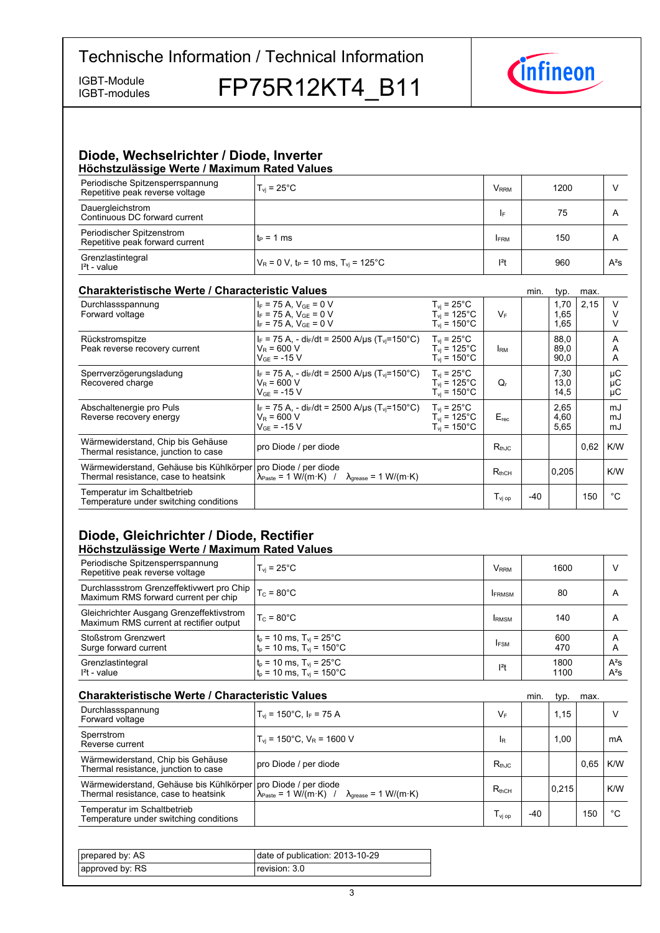IGBT-modules

IGBT-Module FP75R12KT4 B11



# **Diode,-Wechselrichter-/-Diode,-Inverter**

| Höchstzulässige Werte / Maximum Rated Values                        |                                                               |               |      |                |  |  |  |
|---------------------------------------------------------------------|---------------------------------------------------------------|---------------|------|----------------|--|--|--|
| Periodische Spitzensperrspannung<br>Repetitive peak reverse voltage | $T_{\rm vi}$ = 25 $^{\circ}$ C                                | $V_{\rm RRM}$ | 1200 |                |  |  |  |
| Dauergleichstrom<br>Continuous DC forward current                   |                                                               | I۴            | 75   | $\overline{A}$ |  |  |  |
| Periodischer Spitzenstrom<br>Repetitive peak forward current        | $t_P = 1$ ms                                                  | <b>FRM</b>    | 150  | $\overline{A}$ |  |  |  |
| Grenzlastintegral<br>$I2t - value$                                  | $V_R = 0 V$ , t <sub>p</sub> = 10 ms, T <sub>yi</sub> = 125°C | $ ^{2}t$      | 960  | $A^2S$         |  |  |  |

# **Charakteristische Werte / Characteristic**

| <b>Charakteristische Werte / Characteristic Values</b>                          |                                                                                                                       |                                                                                |                                         | min.  | typ.                 | max. |                |
|---------------------------------------------------------------------------------|-----------------------------------------------------------------------------------------------------------------------|--------------------------------------------------------------------------------|-----------------------------------------|-------|----------------------|------|----------------|
| Durchlassspannung<br>Forward voltage                                            | $I_F$ = 75 A, $V_{GF}$ = 0 V<br>$I_F$ = 75 A, $V_{GE}$ = 0 V<br>$I_F$ = 75 A, $V_{GE}$ = 0 V                          | $T_{\rm vj}$ = 25°C<br>$T_{\rm vi}$ = 125°C<br>$T_{\rm vi}$ = 150 $^{\circ}$ C | $V_F$                                   |       | 1,70<br>1,65<br>1,65 | 2,15 | V              |
| Rückstromspitze<br>Peak reverse recovery current                                | $I_F$ = 75 A, - di <sub>F</sub> /dt = 2500 A/µs (T <sub>vi</sub> =150°C)<br>$V_R = 600 V$<br>$V_{GF}$ = -15 V         | $T_{vi}$ = 25°C<br>$T_{\rm vi}$ = 125°C.<br>$T_{\rm vi}$ = 150°C.              | <b>IRM</b>                              |       | 88.0<br>89,0<br>90,0 |      | A<br>A<br>A    |
| Sperrverzögerungsladung<br>Recovered charge                                     | $I_F$ = 75 A, - di $_F/dt$ = 2500 A/ $\mu$ s (T <sub>vi</sub> =150°C)<br>$V_R$ = 600 V<br>$V_{GF}$ = -15 V            | $T_{vi}$ = 25°C<br>$T_{\rm vi}$ = 125°C.<br>$T_{\rm vi}$ = 150°C.              | Q,                                      |       | 7,30<br>13,0<br>14,5 |      | μC<br>μC<br>μC |
| Abschaltenergie pro Puls<br>Reverse recovery energy                             | $I_F$ = 75 A, - di <sub>F</sub> /dt = 2500 A/us (T <sub>vi</sub> =150°C)<br>$V_R$ = 600 V<br>$V_{GF}$ = -15 V         | $T_{\rm vi}$ = 25°C<br>$T_{vi}$ = 125°C<br>$T_{\rm vi}$ = 150 $^{\circ}$ C     | $E_{rec}$                               |       | 2,65<br>4,60<br>5,65 |      | mJ<br>mJ<br>mJ |
| Wärmewiderstand, Chip bis Gehäuse<br>Thermal resistance, junction to case       | pro Diode / per diode                                                                                                 |                                                                                | $R_{thJC}$                              |       |                      | 0.62 | K/W            |
| Wärmewiderstand, Gehäuse bis Kühlkörper<br>Thermal resistance, case to heatsink | pro Diode / per diode<br>$\lambda_{\text{Paste}} = 1 \text{ W/(m·K)}$ / $\lambda_{\text{grease}} = 1 \text{ W/(m·K)}$ |                                                                                | $R_{thCH}$                              |       | 0.205                |      | K/W            |
| Temperatur im Schaltbetrieb<br>Temperature under switching conditions           |                                                                                                                       |                                                                                | $\mathsf{T}_{\mathsf{vi}\,\mathsf{op}}$ | $-40$ |                      | 150  | °C             |

# **Diode, Gleichrichter / Diode, Rectifier Höchstzulässige-Werte-/-Maximum-Rated-Values**

| Periodische Spitzensperrspannung<br>Repetitive peak reverse voltage                 | $T_{\rm vi}$ = 25 $^{\circ}$ C                                                    | V <sub>RRM</sub> | 1600         | ν                |
|-------------------------------------------------------------------------------------|-----------------------------------------------------------------------------------|------------------|--------------|------------------|
| Durchlassstrom Grenzeffektivwert pro Chip  <br>Maximum RMS forward current per chip | $T_c = 80^{\circ}$ C                                                              | <b>IFRMSM</b>    | 80           | A                |
| Gleichrichter Ausgang Grenzeffektivstrom<br>Maximum RMS current at rectifier output | $T_c = 80^{\circ}$ C                                                              | <b>IRMSM</b>     | 140          | A                |
| <b>Stoßstrom Grenzwert</b><br>Surge forward current                                 | $t_p = 10$ ms, $T_{vj} = 25^{\circ}$ C<br>$t_p = 10$ ms, $T_{vj} = 150^{\circ}$ C | <b>IFSM</b>      | 600<br>470   | A<br>Α           |
| Grenzlastintegral<br>$I2t - value$                                                  | $t_p = 10$ ms, $T_{vj} = 25^{\circ}$ C<br>$t_p = 10$ ms, $T_{vj} = 150^{\circ}$ C | $12$ t           | 1800<br>1100 | $A^2S$<br>$A^2S$ |

| <b>Charakteristische Werte / Characteristic Values</b>                          |                                                                                                                       |                                | min.  | typ.  | max. |     |
|---------------------------------------------------------------------------------|-----------------------------------------------------------------------------------------------------------------------|--------------------------------|-------|-------|------|-----|
| Durchlassspannung<br>Forward voltage                                            | $T_{vi}$ = 150°C, I <sub>F</sub> = 75 A                                                                               | VF                             |       | 1,15  |      |     |
| Sperrstrom<br>Reverse current                                                   | $T_{\text{vi}}$ = 150°C, $V_{\text{R}}$ = 1600 V                                                                      | <b>IR</b>                      |       | 1,00  |      | mA  |
| Wärmewiderstand, Chip bis Gehäuse<br>Thermal resistance, junction to case       | pro Diode / per diode                                                                                                 | $R_{th,IC}$                    |       |       | 0.65 | K/W |
| Wärmewiderstand, Gehäuse bis Kühlkörper<br>Thermal resistance, case to heatsink | pro Diode / per diode<br>$\lambda_{\text{Paste}} = 1 \text{ W/(m·K)}$ / $\lambda_{\text{grease}} = 1 \text{ W/(m·K)}$ | $R_{thCH}$                     |       | 0,215 |      | K/W |
| Temperatur im Schaltbetrieb<br>Temperature under switching conditions           |                                                                                                                       | $\mathsf{T}_{\mathsf{vi\ op}}$ | $-40$ |       | 150  | °€  |

| prepared by: AS | date of publication: 2013-10-29 |
|-----------------|---------------------------------|
| approved by: RS | revision: 3.0                   |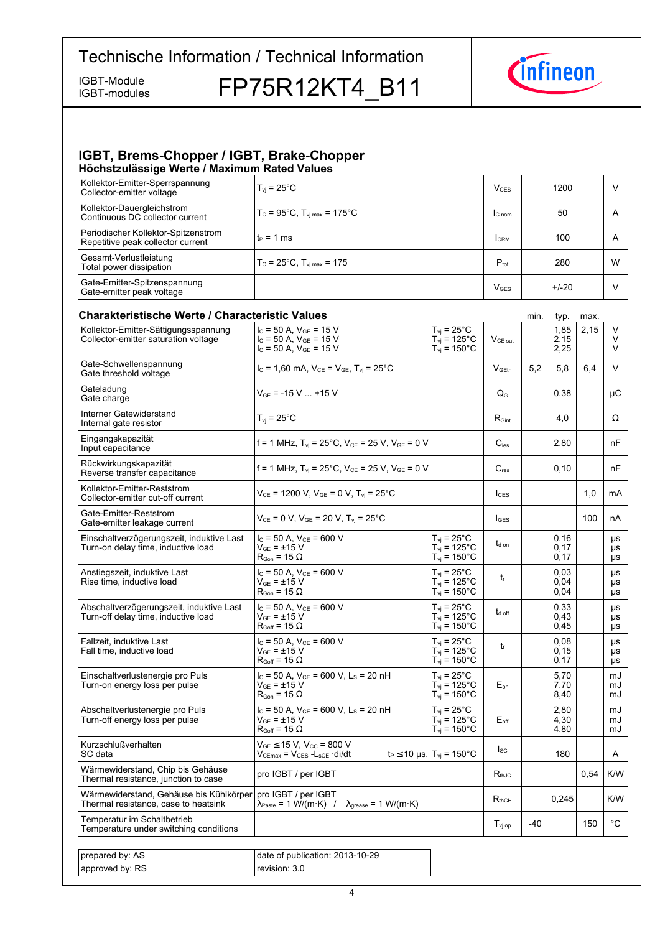IGBT-Module FP75R12KT4 B11



# **IGBT, Brems-Chopper / IGBT, Brake-Chopper Höchstzulässige-Werte-/-Maximum-Rated-Values**

| . .<br>Kollektor-Emitter-Sperrspannung<br>Collector-emitter voltage      | $T_{\rm vi}$ = 25°C.                                      | V <sub>CES</sub>       | 1200    | v |
|--------------------------------------------------------------------------|-----------------------------------------------------------|------------------------|---------|---|
| Kollektor-Dauergleichstrom<br>Continuous DC collector current            | $T_c = 95^{\circ}$ C, $T_{\text{vi max}} = 175^{\circ}$ C | $C_{nom}$              | 50      | A |
| Periodischer Kollektor-Spitzenstrom<br>Repetitive peak collector current | $t_P = 1$ ms                                              | <b>CRM</b>             | 100     | A |
| Gesamt-Verlustleistung<br>Total power dissipation                        | $T_c = 25^{\circ}$ C, $T_{\text{vi max}} = 175$           | $P_{\text{tot}}$       | 280     | W |
| Gate-Emitter-Spitzenspannung<br>Gate-emitter peak voltage                |                                                           | <b>V<sub>GES</sub></b> | $+/-20$ |   |

| <b>Charakteristische Werte / Characteristic Values</b>                          |                                                                                                                                                             |                                                                                      |                    | min.  | typ.                 | max. |                       |
|---------------------------------------------------------------------------------|-------------------------------------------------------------------------------------------------------------------------------------------------------------|--------------------------------------------------------------------------------------|--------------------|-------|----------------------|------|-----------------------|
| Kollektor-Emitter-Sättigungsspannung<br>Collector-emitter saturation voltage    | $I_C$ = 50 A, $V_{GE}$ = 15 V<br>$I_C$ = 50 A, $V_{GE}$ = 15 V<br>$I_c = 50$ A, $V_{GE} = 15$ V                                                             | $T_{\text{vj}}$ = 25°C<br>$T_{\text{vj}}$ = 125°C<br>$T_{vi}$ = 150 $^{\circ}$ C     | $V_{CE\ sat}$      |       | 1,85<br>2,15<br>2,25 | 2,15 | V<br>V<br>V           |
| Gate-Schwellenspannung<br>Gate threshold voltage                                | $I_c = 1,60$ mA, $V_{CE} = V_{GE}$ , $T_{vi} = 25^{\circ}$ C                                                                                                |                                                                                      | V <sub>GFth</sub>  | 5,2   | 5,8                  | 6,4  | V                     |
| Gateladung<br>Gate charge                                                       | $V_{GF}$ = -15 V  +15 V                                                                                                                                     |                                                                                      | $Q_G$              |       | 0.38                 |      | μC                    |
| Interner Gatewiderstand<br>Internal gate resistor                               | $T_{vi}$ = 25 $^{\circ}$ C                                                                                                                                  |                                                                                      | $R_{\text{Gint}}$  |       | 4,0                  |      | Ω                     |
| Eingangskapazität<br>Input capacitance                                          | f = 1 MHz, $T_{vi}$ = 25°C, $V_{CE}$ = 25 V, $V_{GE}$ = 0 V                                                                                                 |                                                                                      | $C_{\text{ies}}$   |       | 2.80                 |      | nF                    |
| Rückwirkungskapazität<br>Reverse transfer capacitance                           | f = 1 MHz, $T_{vi}$ = 25°C, $V_{CE}$ = 25 V, $V_{GE}$ = 0 V                                                                                                 |                                                                                      | $C_{res}$          |       | 0,10                 |      | nF                    |
| Kollektor-Emitter-Reststrom<br>Collector-emitter cut-off current                | $V_{CE}$ = 1200 V, $V_{GE}$ = 0 V, $T_{vi}$ = 25°C                                                                                                          |                                                                                      | $I_{CES}$          |       |                      | 1,0  | mA                    |
| Gate-Emitter-Reststrom<br>Gate-emitter leakage current                          | $V_{CE}$ = 0 V, $V_{GE}$ = 20 V, $T_{vi}$ = 25°C                                                                                                            |                                                                                      | $I_{\text{GES}}$   |       |                      | 100  | nA                    |
| Einschaltverzögerungszeit, induktive Last<br>Turn-on delay time, inductive load | $I_C$ = 50 A, $V_{CE}$ = 600 V<br>$V_{GF}$ = ±15 V<br>$R_{Gon}$ = 15 $\Omega$                                                                               | $T_{vi}$ = 25°C<br>$T_{vi}$ = 125°C<br>$T_{vi}$ = 150 $^{\circ}$ C                   | $t_{d \text{ on}}$ |       | 0.16<br>0.17<br>0.17 |      | <b>US</b><br>μs<br>μs |
| Anstiegszeit, induktive Last<br>Rise time, inductive load                       | $I_C = 50$ A, $V_{CE} = 600$ V<br>$V_{GE}$ = $\pm$ 15 V<br>$\mathsf{R}_{\mathsf{Gon}}$ = 15 $\Omega$                                                        | $T_{\rm vj}$ = 25°C<br>$T_{vi}$ = 125°C<br>$T_{vi}$ = 150 $^{\circ}$ C               | tr                 |       | 0.03<br>0.04<br>0,04 |      | μs<br>μs<br>μs        |
| Abschaltverzögerungszeit, induktive Last<br>Turn-off delay time, inductive load | $I_c = 50$ A, $V_{CE} = 600$ V<br>V <sub>GE</sub> = ±15 V<br>$R_{Goff}$ = 15 $\Omega$                                                                       | $T_{vi}$ = 25°C<br>$T_{vi}$ = 125°C<br>$T_{vi}$ = 150 $^{\circ}$ C                   | $t_{\text{d off}}$ |       | 0,33<br>0,43<br>0,45 |      | μs<br>μs<br>μs        |
| Fallzeit, induktive Last<br>Fall time, inductive load                           | $I_{C}$ = 50 A, $V_{CE}$ = 600 V<br>$V_{GE}$ = $\pm$ 15 V<br>$R_{Goff}$ = 15 $\Omega$                                                                       | $T_{vi}$ = 25 $^{\circ}$ C<br>$T_{\text{vj}}$ = 125°C<br>$T_{vi}$ = 150 $^{\circ}$ C | t                  |       | 0,08<br>0,15<br>0,17 |      | μs<br>μs<br>μs        |
| Einschaltverlustenergie pro Puls<br>Turn-on energy loss per pulse               | $I_C = 50$ A, $V_{CE} = 600$ V, $L_S = 20$ nH<br>$V_{GF}$ = ±15 V<br>$R_{Gon}$ = 15 $\Omega$                                                                | $T_{\rm vj}$ = 25°C<br>$T_{vi}$ = 125°C<br>$T_{vi}$ = 150 $^{\circ}$ C               | $E_{on}$           |       | 5.70<br>7,70<br>8,40 |      | mJ<br>mJ<br>mJ        |
| Abschaltverlustenergie pro Puls<br>Turn-off energy loss per pulse               | $I_c$ = 50 A, $V_{CE}$ = 600 V, L <sub>s</sub> = 20 nH<br>$V_{GF} = \pm 15 V$<br>$R_{Goff}$ = 15 $\Omega$                                                   | $T_{vi}$ = 25°C<br>$T_{vi}$ = 125°C<br>$T_{\text{vj}}$ = 150°C                       | $E_{\text{off}}$   |       | 2,80<br>4,30<br>4,80 |      | mJ<br>mJ<br>mJ        |
| Kurzschlußverhalten<br>SC data                                                  | $V_{GE}$ $\leq$ 15 V, V <sub>CC</sub> = 800 V<br>$V_{CEmax}$ = $V_{CES}$ - $L_{sCE}$ ·di/dt                                                                 | $t_P \le 10 \,\mu s$ , $T_{vi} = 150^{\circ}C$                                       | $I_{SC}$           |       | 180                  |      | A                     |
| Wärmewiderstand, Chip bis Gehäuse<br>Thermal resistance, junction to case       | pro IGBT / per IGBT                                                                                                                                         |                                                                                      | $R_{thJC}$         |       |                      | 0.54 | K/W                   |
| Wärmewiderstand, Gehäuse bis Kühlkörper<br>Thermal resistance, case to heatsink | pro IGBT / per IGBT<br>$\lambda_{\text{Paste}} = 1 \text{ W}/(\text{m} \cdot \text{K})$ / $\lambda_{\text{grease}} = 1 \text{ W}/(\text{m} \cdot \text{K})$ |                                                                                      | $R_{thCH}$         |       | 0,245                |      | K/W                   |
| Temperatur im Schaltbetrieb<br>Temperature under switching conditions           |                                                                                                                                                             |                                                                                      | $T_{\rm vj~op}$    | $-40$ |                      | 150  | °C                    |
|                                                                                 |                                                                                                                                                             |                                                                                      |                    |       |                      |      |                       |
| prepared by: AS                                                                 | date of publication: 2013-10-29                                                                                                                             |                                                                                      |                    |       |                      |      |                       |
| approved by: RS                                                                 | revision: 3.0                                                                                                                                               |                                                                                      |                    |       |                      |      |                       |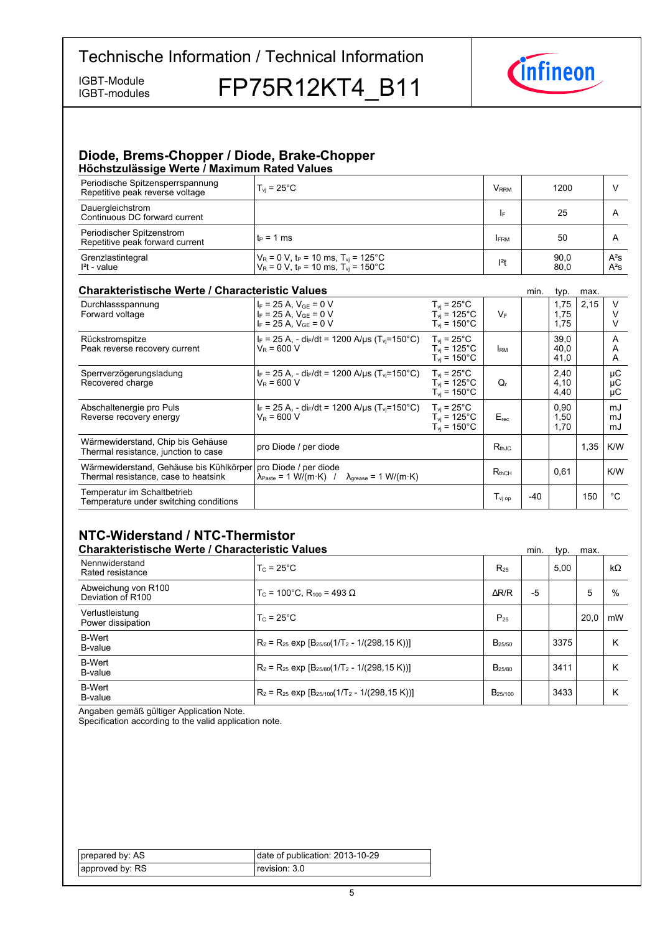IGBT-modules

IGBT-Module FP75R12KT4 B11



## **Diode, Brems-Chopper / Diode, Brake-Chopper Höchstzulässige-Werte-/-Maximum-Rated-Values**

| Periodische Spitzensperrspannung<br>Repetitive peak reverse voltage | $T_{\rm vi}$ = 25°C                                                                                                          | <b>V</b> <sub>RRM</sub> | 1200         |                  |
|---------------------------------------------------------------------|------------------------------------------------------------------------------------------------------------------------------|-------------------------|--------------|------------------|
| Dauergleichstrom<br>Continuous DC forward current                   |                                                                                                                              | I۴                      | 25           | A                |
| Periodischer Spitzenstrom<br>Repetitive peak forward current        | $t_P = 1$ ms                                                                                                                 | <b>FRM</b>              | 50           | A                |
| Grenzlastintegral<br>$l2t$ - value                                  | $V_R = 0$ V, t <sub>P</sub> = 10 ms, T <sub>vj</sub> = 125°C<br>$V_R = 0$ V, t <sub>P</sub> = 10 ms, T <sub>vi</sub> = 150°C | $ ^{2}t$                | 90,0<br>80,0 | $A^2S$<br>$A^2S$ |

# **Charakteristische Werte / Characteristic**

| <b>Charakteristische Werte / Characteristic Values</b>                          |                                                                                                                                                 |                                                                                | min.                                    | typ. | max.                 |      |                |
|---------------------------------------------------------------------------------|-------------------------------------------------------------------------------------------------------------------------------------------------|--------------------------------------------------------------------------------|-----------------------------------------|------|----------------------|------|----------------|
| Durchlassspannung<br>Forward voltage                                            | $I_F = 25 A$ , $V_{GF} = 0 V$<br>$I_F = 25 A$ , $V_{GE} = 0 V$<br>$I_F = 25 A$ , $V_{GE} = 0 V$                                                 | $T_{\rm vj}$ = 25°C<br>$T_{\rm vi}$ = 125°C<br>$T_{\rm vi}$ = 150 $^{\circ}$ C | $V_F$                                   |      | 1,75<br>1,75<br>1,75 | 2,15 | V              |
| Rückstromspitze<br>Peak reverse recovery current                                | $I_F = 25$ A, - di <sub>F</sub> /dt = 1200 A/µs (T <sub>vi</sub> =150°C)<br>$V_R = 600 V$                                                       | $T_{\rm vi}$ = 25°C<br>$T_{\rm vi}$ = 125°C.<br>$T_{\rm vi}$ = 150°C.          | <b>IRM</b>                              |      | 39,0<br>40,0<br>41,0 |      | A<br>A<br>A    |
| Sperrverzögerungsladung<br>Recovered charge                                     | $I_F$ = 25 A, - di <sub>F</sub> /dt = 1200 A/us (T <sub>vi</sub> =150°C)<br>$V_R$ = 600 V                                                       | $T_{vi}$ = 25°C<br>$T_{\rm vi}$ = 125°C.<br>$T_{\rm vi}$ = 150°C.              | Q,                                      |      | 2,40<br>4,10<br>4,40 |      | μC<br>μC<br>μC |
| Abschaltenergie pro Puls<br>Reverse recovery energy                             | $I_F = 25$ A, - di <sub>F</sub> /dt = 1200 A/µs (T <sub>vi</sub> =150°C)<br>$V_R = 600 V$                                                       | $T_{\rm vi}$ = 25°C<br>$T_{vi}$ = 125°C<br>$T_{\rm vi}$ = 150°C                | $E_{rec}$                               |      | 0.90<br>1,50<br>1,70 |      | mJ<br>mJ<br>mJ |
| Wärmewiderstand, Chip bis Gehäuse<br>Thermal resistance, junction to case       | pro Diode / per diode                                                                                                                           |                                                                                | $R_{th,IC}$                             |      |                      | 1,35 | K/W            |
| Wärmewiderstand, Gehäuse bis Kühlkörper<br>Thermal resistance, case to heatsink | pro Diode / per diode<br>$\lambda_{\text{Paste}} = 1 \text{ W/(m} \cdot \text{K)}$ / $\lambda_{\text{grease}} = 1 \text{ W/(m} \cdot \text{K)}$ |                                                                                | $R_{thCH}$                              |      | 0.61                 |      | K/W            |
| Temperatur im Schaltbetrieb<br>Temperature under switching conditions           |                                                                                                                                                 |                                                                                | $\mathsf{T}_{\mathsf{vi}\,\mathsf{op}}$ | -40  |                      | 150  | °C             |

# **NTC-Widerstand-/-NTC-Thermistor**

| <b>Charakteristische Werte / Characteristic Values</b> |                                                          |                     | min. | typ. | max. |           |
|--------------------------------------------------------|----------------------------------------------------------|---------------------|------|------|------|-----------|
| Nennwiderstand<br>Rated resistance                     | $T_c = 25^{\circ}$ C                                     | $R_{25}$            |      | 5.00 |      | $k\Omega$ |
| Abweichung von R100<br>Deviation of R100               | $T_c$ = 100°C. R <sub>100</sub> = 493 Ω                  | $\Delta$ R/R        | -5   |      | 5    | $\%$      |
| Verlustleistung<br>Power dissipation                   | $T_c = 25^{\circ}$ C                                     | $P_{25}$            |      |      | 20.0 | mW        |
| <b>B-Wert</b><br>B-value                               | $R_2 = R_{25}$ exp $[B_{25/50}(1/T_2 - 1/(298, 15 K))]$  | $B_{25/50}$         |      | 3375 |      | К         |
| <b>B-Wert</b><br>B-value                               | $R_2 = R_{25}$ exp $[B_{25/80}(1/T_2 - 1/(298.15 K))]$   | B <sub>25/80</sub>  |      | 3411 |      | К         |
| <b>B-Wert</b><br>B-value                               | $R_2 = R_{25}$ exp $[B_{25/100}(1/T_2 - 1/(298, 15 K))]$ | B <sub>25/100</sub> |      | 3433 |      | К         |

Angaben gemäß gültiger Application Note.

Specification according to the valid application note.

| prepared by: AS | date of publication: 2013-10-29 |
|-----------------|---------------------------------|
| approved by: RS | revision: 3.0                   |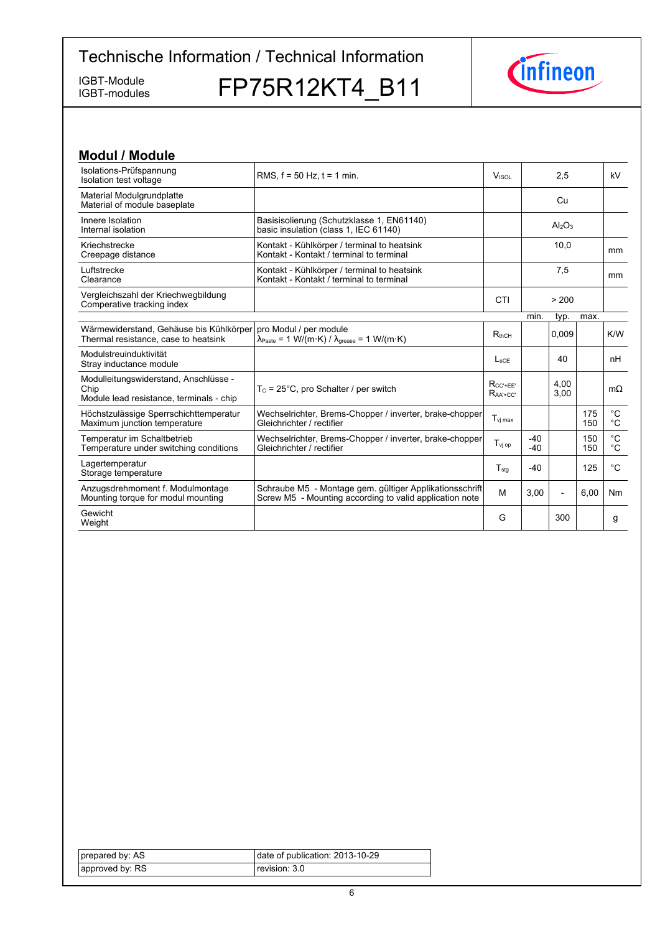IGBT-modules

IGBT-Module FP75R12KT4\_B11



| <b>Modul / Module</b>                                                                     |                                                                                                                                                              |                                   |                |                                |            |                            |
|-------------------------------------------------------------------------------------------|--------------------------------------------------------------------------------------------------------------------------------------------------------------|-----------------------------------|----------------|--------------------------------|------------|----------------------------|
| Isolations-Prüfspannung<br>Isolation test voltage                                         | RMS, $f = 50$ Hz, $t = 1$ min.                                                                                                                               | V <sub>ISOL</sub><br>2,5          |                |                                | kV         |                            |
| Material Modulgrundplatte<br>Material of module baseplate                                 |                                                                                                                                                              |                                   |                | Cu                             |            |                            |
| Innere Isolation<br>Internal isolation                                                    | Basisisolierung (Schutzklasse 1, EN61140)<br>basic insulation (class 1, IEC 61140)                                                                           |                                   |                | Al <sub>2</sub> O <sub>3</sub> |            |                            |
| Kriechstrecke<br>Creepage distance                                                        | Kontakt - Kühlkörper / terminal to heatsink<br>Kontakt - Kontakt / terminal to terminal                                                                      | 10,0                              |                |                                | mm         |                            |
| Luftstrecke<br>Clearance                                                                  | Kontakt - Kühlkörper / terminal to heatsink<br>Kontakt - Kontakt / terminal to terminal                                                                      |                                   |                | 7,5                            |            | <sub>mm</sub>              |
| Vergleichszahl der Kriechwegbildung<br>Comperative tracking index                         |                                                                                                                                                              | CTI                               |                | > 200                          |            |                            |
|                                                                                           |                                                                                                                                                              |                                   | min.           | typ.                           | max.       |                            |
| Wärmewiderstand, Gehäuse bis Kühlkörper<br>Thermal resistance, case to heatsink           | pro Modul / per module<br>$\lambda_{\text{Paste}} = 1 \text{ W}/(\text{m} \cdot \text{K}) / \lambda_{\text{grease}} = 1 \text{ W}/(\text{m} \cdot \text{K})$ | $R_{thCH}$                        |                | 0,009                          |            | K/W                        |
| Modulstreuinduktivität<br>Stray inductance module                                         |                                                                                                                                                              | $L_{\rm sCF}$                     |                | 40                             |            | nH                         |
| Modulleitungswiderstand, Anschlüsse -<br>Chip<br>Module lead resistance, terminals - chip | $T_c = 25^{\circ}$ C, pro Schalter / per switch                                                                                                              | $R_{CC'+EE'}$<br>$R_{AA' + CC'}$  |                | 4.00<br>3.00                   |            | $m\Omega$                  |
| Höchstzulässige Sperrschichttemperatur<br>Maximum junction temperature                    | Wechselrichter, Brems-Chopper / inverter, brake-chopper<br>Gleichrichter / rectifier                                                                         | $T_{\mathsf{vi} \, \mathsf{max}}$ |                |                                | 175<br>150 | $^{\circ}C$<br>$^{\circ}C$ |
| Temperatur im Schaltbetrieb<br>Temperature under switching conditions                     | Wechselrichter, Brems-Chopper / inverter, brake-chopper<br>Gleichrichter / rectifier                                                                         | $T_{\rm vi\,op}$                  | $-40$<br>$-40$ |                                | 150<br>150 | $^{\circ}C$<br>°C          |
| Lagertemperatur<br>Storage temperature                                                    |                                                                                                                                                              | $T_{\text{stq}}$                  | $-40$          |                                | 125        | $^{\circ}C$                |
| Anzugsdrehmoment f. Modulmontage<br>Mounting torque for modul mounting                    | Schraube M5 - Montage gem. gültiger Applikationsschrift<br>Screw M5 - Mounting according to valid application note                                           | M                                 | 3,00           | $\overline{a}$                 | 6,00       | Nm                         |
| Gewicht<br>Weight                                                                         |                                                                                                                                                              | G                                 |                | 300                            |            | g                          |

| prepared by: AS | date of publication: 2013-10-29 |
|-----------------|---------------------------------|
| approved by: RS | revision: 3.0                   |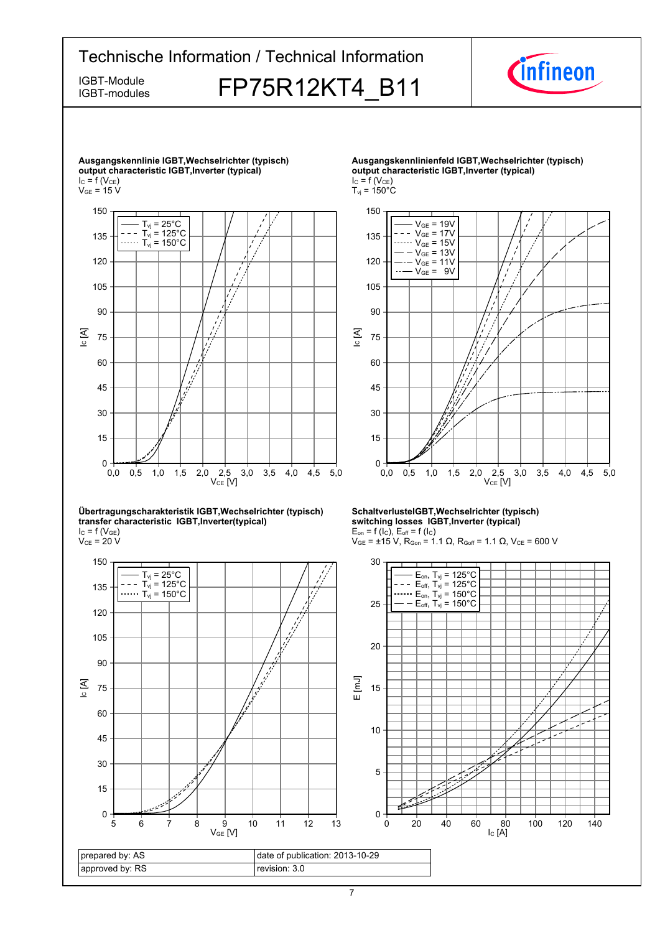# Technische Information / Technical Information *Cinfineon* IGBT-Module FP75R12KT4 B11 IGBT-modules **Ausgangskennlinie-IGBT,Wechselrichter-(typisch) Ausgangskennlinienfeld-IGBT,Wechselrichter-(typisch) output-characteristic-IGBT,Inverter-(typical) output-characteristic-IGBT,Inverter-(typical)**



#### **Übertragungscharakteristik-IGBT,Wechselrichter-(typisch) transfer-characteristic--IGBT,Inverter(typical)**  $I_{C}$  = f (V<sub>GE</sub>)

 $\rm V_{CE}$  = 20 V



 $I_C = f(V_{CE})$ 

 $T_{\text{vj}}$  = 150 $^{\circ}$ C



#### **SchaltverlusteIGBT,Wechselrichter-(typisch) switching-losses--IGBT,Inverter-(typical)**  $E_{on}$  = f (l<sub>C</sub>),  $E_{off}$  = f (l<sub>C</sub>)

 $V_{GE}$  = ±15 V, R<sub>Gon</sub> = 1.1 Ω, R<sub>Goff</sub> = 1.1 Ω, V<sub>CE</sub> = 600 V

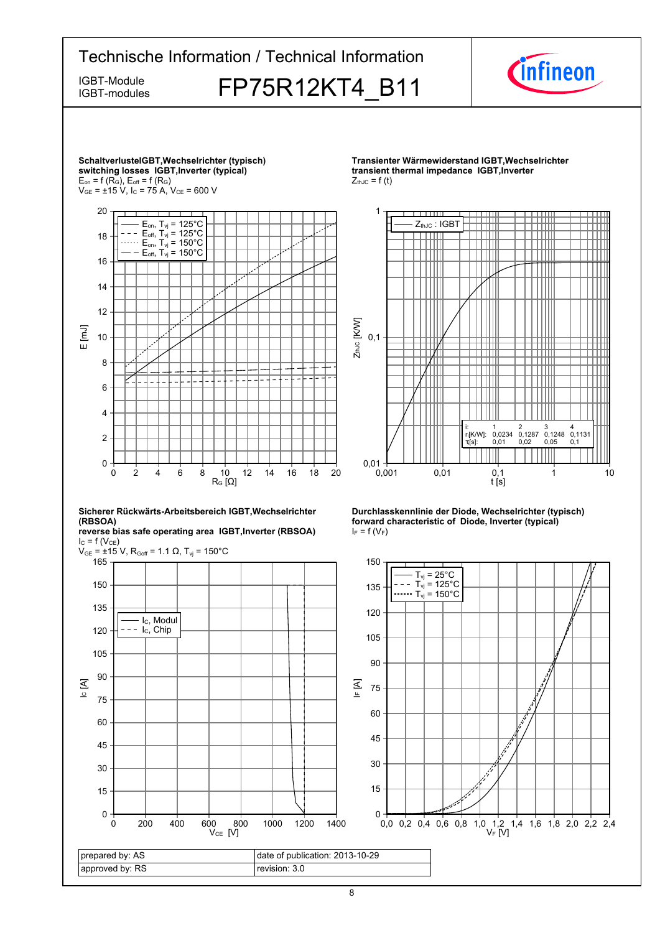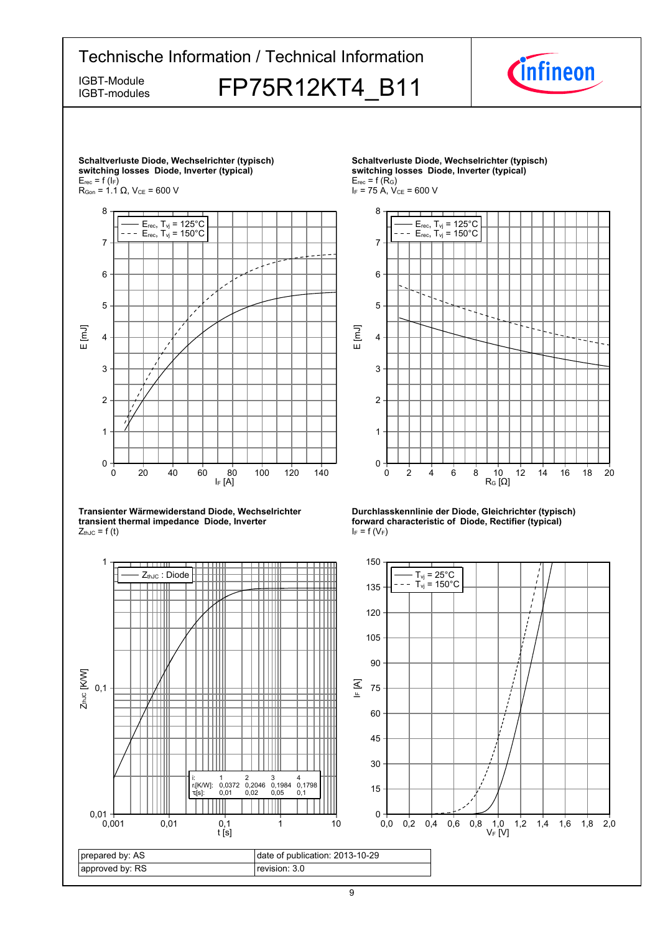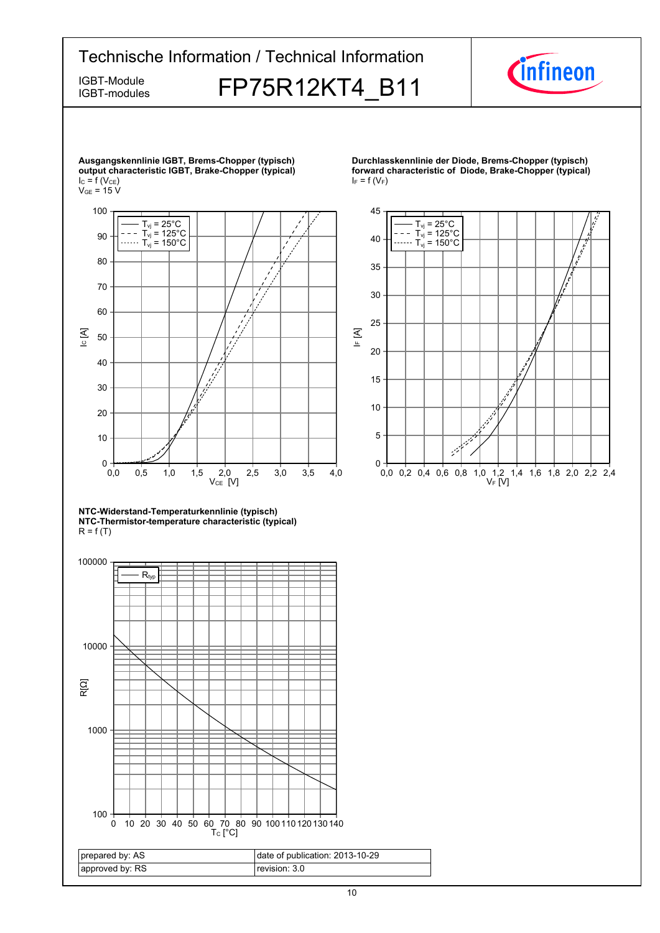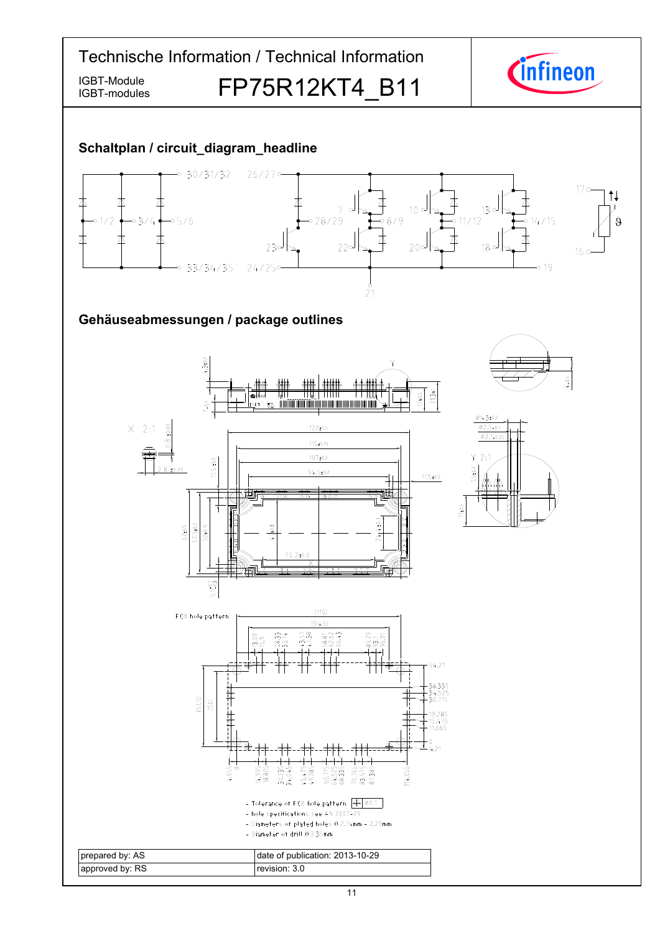